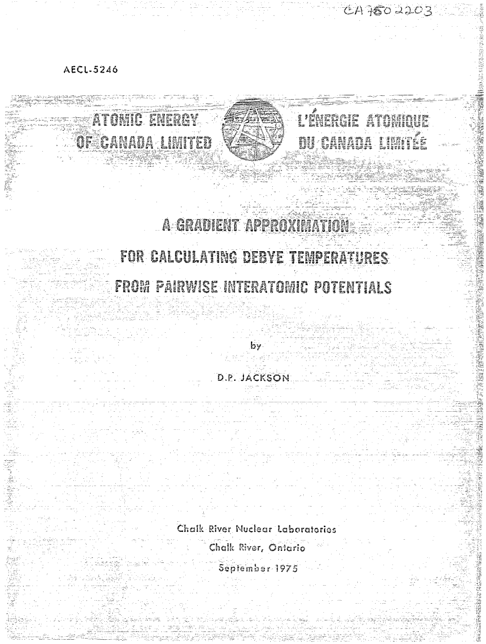AECL-5246

# t d'Arrent avaignement ATOMIC ENERGY #1,5 3as JtZt^Z fes? **51" P?i"x?** A GRADIERIT APPROXIMATION FOR CALCULATING DEBYE TEMPERATURES FROM PAIRWISE INTERATOMIC POTENTIALS by D.P. JACKSON Chalk River. **Nuclear laboratories** Chalk River, Ontario September-1975

CA7502203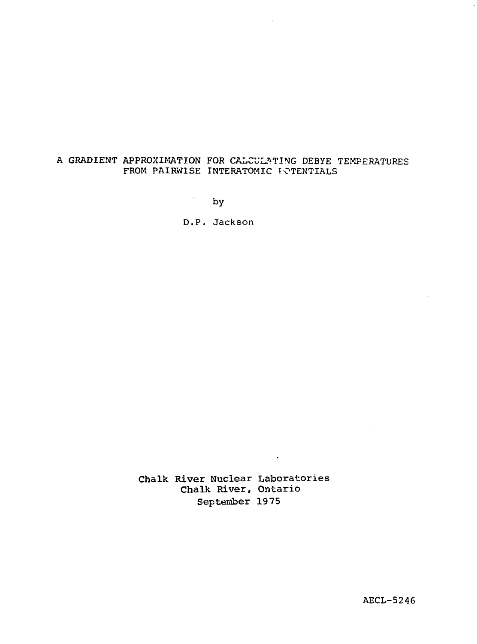# A GRADIENT APPROXIMATION FOR CALCULATING DEBYE TEMPERATURES FROM PAIRWISE INTERATOMIC POTENTIALS

by

 $\sim$ 

D.P. Jackson

Chalk River Nuclear Laboratories Chalk River, Ontario September 1975

 $\bullet$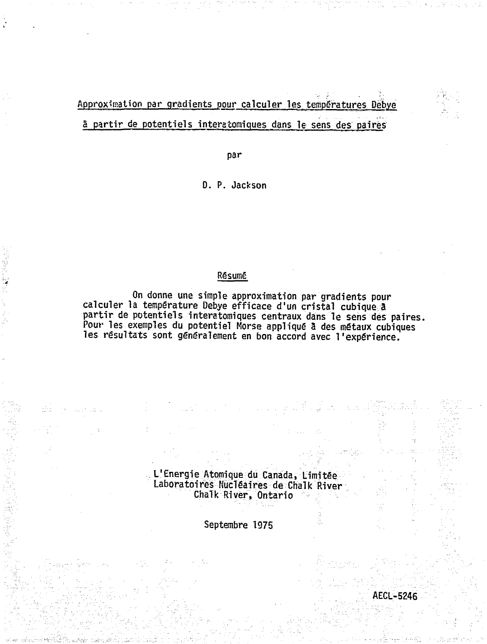# Approximation par gradients pour calculer les temperatures Debye 5 partir de potentiels interatomiques dans le sens des paires

par

D. P. Jackson

# Résumé

On donne une simple approximation par gradients pour calculer la temperature Debye efficace d'un cristal cubique â partir de potentiels interatomiques centraux dans le sens des paires, Pour les exemples du potentiel Morse appliqué 3 des métaux cubiques les résultats sont généralement en bon accord avec l'expérience.

> L'Energie Atomique du Canada, Limitée Laboratoires Nucléaires de Chalk River Chalk River, Ontario

> > Septembre 1975

AECL-5246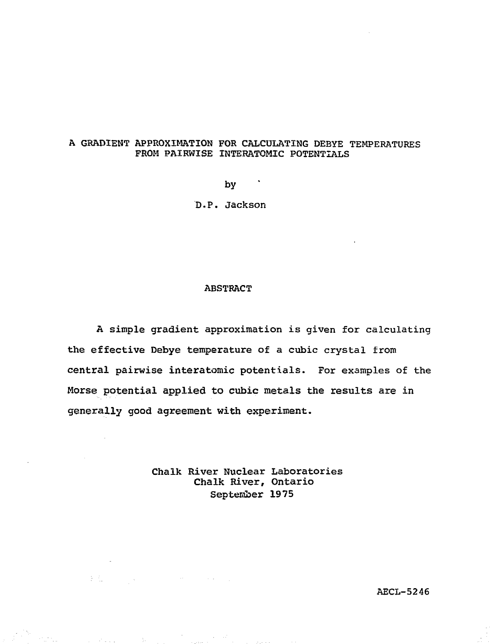## A GRADIENT APPROXIMATION FOR CALCULATING DEBYE TEMPERATURES FROM PAIRWISE INTERATOMIC POTENTIALS

by

D.P. Jackson

#### **ABSTRACT**

A simple gradient approximation is given for calculating the effective Debye temperature of a cubic crystal from central pairwise interatomic potentials. For examples of the Morse potential applied to cubic metals the results are in generally good agreement with experiment.

> Chalk River Nuclear Laboratories Chalk River, Ontario September 1975

 $\mathbb{E}[\mathcal{L}_{\mathcal{S}}] = \mathbb{E}[\mathcal{S}_{\mathcal{S}}]$  , where  $\mathcal{S}_{\mathcal{S}}$  is the proof of

te<br>Silverine

AECL-5246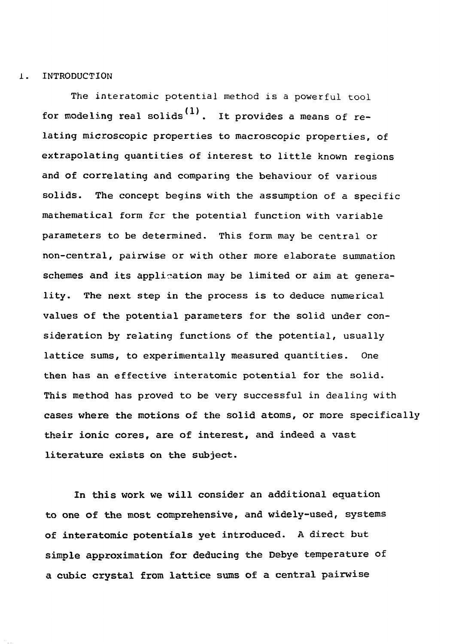#### 1. INTRODUCTION

The interatomic potential method is a powerful tool for modeling real solids<sup>(1)</sup>. It provides a means of relating microscopic properties to macroscopic properties, of extrapolating quantities of interest to little known regions and of correlating and comparing the behaviour of various solids. The concept begins with the assumption of a specific mathematical form fcr the potential function with variable parameters to be determined. This form may be central or non-central, pairwise or with other more elaborate summation schemes and its application may be limited or aim at generality. The next step in the process is to deduce numerical values of the potential parameters for the solid under consideration by relating functions of the potential, usually lattice sums, to experimentally measured quantities. One then has an effective interatomic potential for the solid. This method has proved to be very successful in dealing with cases where the motions of the solid atoms, or more specifically their ionic cores, are of interest, and indeed a vast literature exists on the subject.

In this work we will consider an additional equation to one of the most comprehensive, and widely-used, systems of interatomic potentials yet introduced. A direct but simple approximation for deducing the Debye temperature of a cubic crystal from lattice sums of a central pairwise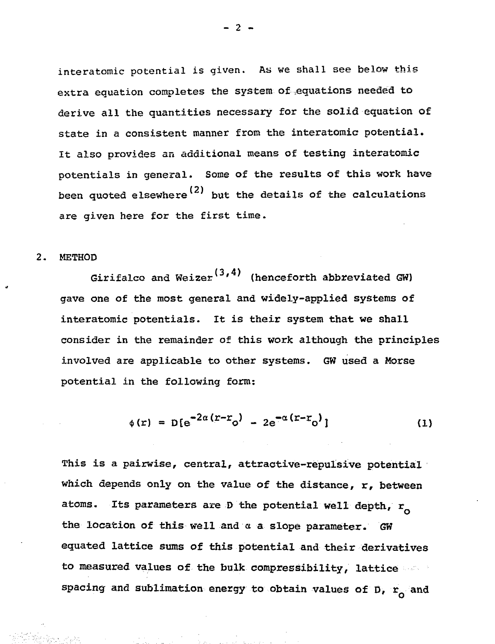interatomic potential is given. As we shall see below this extra equation completes the system of .equations needed to derive all the quantities necessary for the solid equation of state in a consistent manner from the interatomic potential. It also provides an additional means of testing interatomic potentials in general. Some of the results of this work have been quoted elsewhere<sup>(2)</sup> but the details of the calculations are given here for the first time.

#### 2. METHOD

Girifalco and Weizer<sup>(3,4)</sup> (henceforth abbreviated GW) gave one of the most general and widely-applied systems of interatomic potentials. It is their system that we shall consider in the remainder of this work although the principles involved are applicable to other systems. GW used a Morse potential in the following form:

$$
\phi(r) = D[e^{-2\alpha (r - r_0)} - 2e^{-\alpha (r - r_0)}]
$$
 (1)

This is a pairwise, central, attractive-repulsive potential which depends only on the value of the distance, r, between atoms. Its parameters are D the potential well depth,  $r_{o}$ the location of this well and a a slope parameter. GW equated lattice sums of this potential and their derivatives to measured values of the bulk compressibility, lattice spacing and sublimation energy to obtain values of  $\overline{D}$ ,  $\overline{r}_0$  and

 $-2$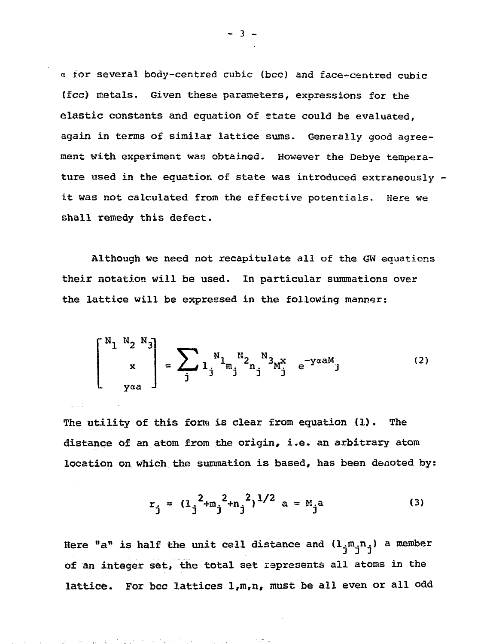a tor several body-centred cubic (bcc) and face-centred cubic (fee) metals. Given these parameters, expressions for the elastic constants and equation of etate could be evaluated, again in terms of similar lattice sums. Generally good agreement with experiment was obtained. However the Debye temperature used in the equation of state was introduced extraneously it was not calculated from the effective potentials. Here we shall remedy this defect.

Although we need not recapitulate all of the GW equations their notation will be used. In particular summations over the lattice will be expressed in the following manner:

$$
\begin{bmatrix} N_1 & N_2 & N_3 \ 1 & 1 & 1 \ 1 & 0 & 0 \end{bmatrix} = \sum_{j} 1 \int_{j}^{N_1} n_j^{N_2} n_j^{N_3} M_j^{X} e^{-y \alpha M} \tag{2}
$$

The utility of this form is clear from equation (1). The distance of an atom from the origin, i.e. an arbitrary atom location on which the summation is based, has been denoted by:

$$
r_j = (1_j^2 + m_j^2 + n_j^2)^{1/2} \text{ a} = M_j \text{a}
$$
 (3)

Here "a" is half the unit cell distance and  $(1_{\dot{1}}m_{\dot{1}}n_{\dot{1}})$  a member of an integer set, the total set represents all atoms in the lattice. For bcc lattices  $1, m, n$ , must be all even or all odd

service production to the service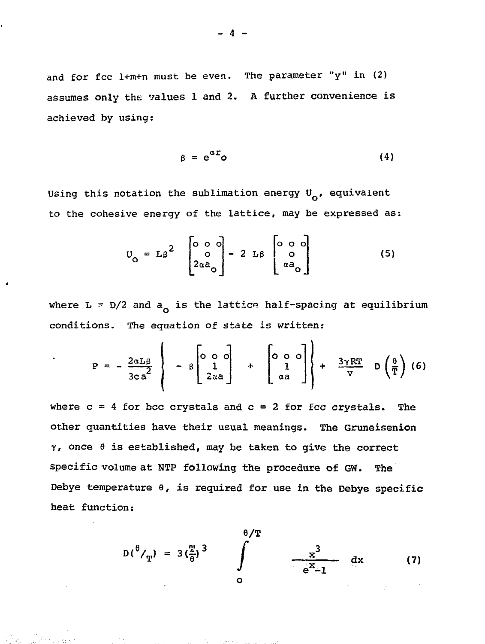and for fcc 1+m+n must be even. The parameter " $y$ " in (2) assumes only the values 1 and 2. A further convenience is achieved by using:

$$
\beta = e^{\alpha \mathbf{r}} \mathbf{0} \tag{4}
$$

Using this notation the sublimation energy  $U_{\Omega}$ , equivalent to the cohesive energy of the lattice, may be expressed as:

$$
U_{\text{o}} = L\beta^2 \begin{bmatrix} 0 & 0 & 0 \\ 0 & 0 & 0 \\ 2\alpha\alpha_{\text{o}} & 0 \end{bmatrix} - 2 L\beta \begin{bmatrix} 0 & 0 & 0 \\ 0 & 0 & 0 \\ \alpha\alpha_{\text{o}} & 0 \end{bmatrix}
$$
 (5)

where  $L = D/2$  and  $a_0$  is the lattice half-spacing at equilibrium conditions. The equation of state is written:

$$
P = -\frac{2\alpha L\beta}{3ca^2} \left\{ -8 \begin{bmatrix} 0 & 0 & 0 \\ 1 & 1 \\ 2\alpha a & 0 \end{bmatrix} + \begin{bmatrix} 0 & 0 & 0 \\ 1 & 0 \\ \alpha a & 0 \end{bmatrix} \right\} + \frac{3\gamma RT}{V} D\left(\frac{\theta}{T}\right)
$$
 (6)

where  $c = 4$  for bcc crystals and  $c = 2$  for fec crystals. The other quantities have their usual meanings. The Gruneisenion  $\gamma$ , once  $\theta$  is established, may be taken to give the correct specific volume at NTP following the procedure of GW. The Debye temperature  $\theta$ , is required for use in the Debye specific heat function:

$$
D(^{\theta}/_{\text{T}}) = 3(\frac{\text{T}}{\theta})^{3} \qquad \int_{0}^{\theta/\text{T}} \qquad \frac{x^{3}}{e^{x}-1} dx \qquad (7)
$$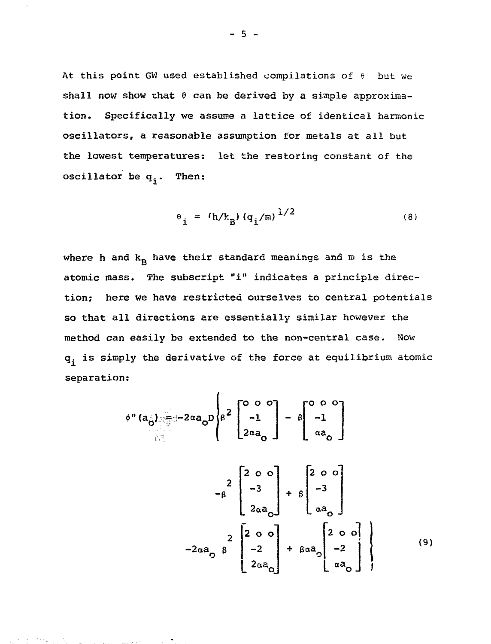At this point GW used established compilations of  $\theta$  but we shall now show that  $\theta$  can be derived by a simple approximation. Specifically we assume a lattice of identical harmonic oseillators, a reasonable assumption for metals at all but the lowest temperatures: let the restoring constant of the oscillator be  $q_i$ . Then:

$$
\theta_{i} = (h/k_{B}) (q_{i}/m)^{1/2}
$$
 (8)

where h and  $k_R$  have their standard meanings and m is the atomic mass. The subscript "i" indicates a principle direction; here we have restricted ourselves to central potentials so that all directions are essentially similar however the method can easily be extended to the non-central case. Now  $q_i$  is simply the derivative of the force at equilibrium atomic separation:

$$
\phi''(a_{\stackrel{\circ}{\theta}}) = -2\alpha a_{\stackrel{\circ}{\theta}}P\begin{bmatrix}2\begin{bmatrix}0&0&0\\-1\end{bmatrix}-\beta\begin{bmatrix}0&0&0\\-1\end{bmatrix}\\2\alpha a_{\stackrel{\circ}{\theta}}\end{bmatrix} + \beta\begin{bmatrix}2&0&0\\-3\end{bmatrix}\\-\beta\begin{bmatrix}2\begin{bmatrix}2&0&0\\-3\end{bmatrix}\\2\alpha a_{\stackrel{\circ}{\theta}}\end{bmatrix} + \beta\begin{bmatrix}2&0&0\\a_{\stackrel{\circ}{\theta}}\end{bmatrix}\\-2\alpha a_{\stackrel{\circ}{\theta}}\beta\begin{bmatrix}2&0&0\\-2\end{bmatrix} + \beta\alpha a_{\stackrel{\circ}{\theta}}\begin{bmatrix}2&0&0\\-2\end{bmatrix}\end{bmatrix}
$$
\n(9)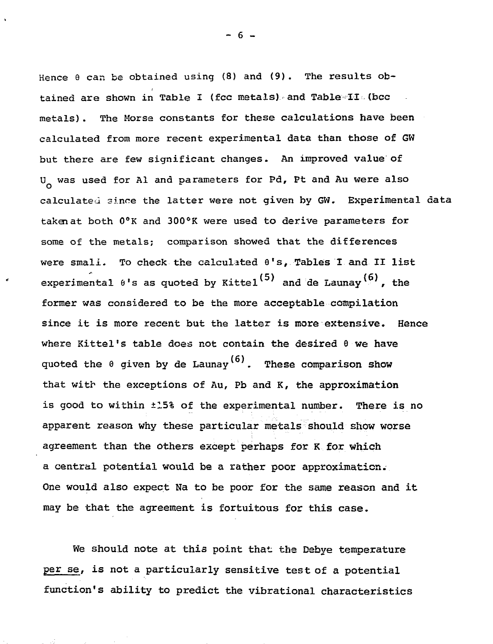Hence  $\theta$  can be obtained using (8) and (9). The results obtained are shown in Table I (foc metals) and Table II (bec metals). The Morse constants for these calculations have been calculated from more recent experimental data than those of GW but there are few significant changes. An improved value of U<sub>o</sub> was used for Al and parameters for Pd, Pt and Au were also calculated since the latter were not given by GW. Experimental data taken at both 0°K and 300°K were used to derive parameters for some of the metals; comparison showed that the differences were small. To check the calculated 8's, Tables I and II list experimental  $\theta$ 's as quoted by Kittel<sup>(5)</sup> and de Launay<sup>(6)</sup>, the former was considered to be the more acceptable compilation since it is more recent but the latter is more extensive. Hence where Kittel's table does not contain the desired 6 we have quoted the  $\theta$  given by de Launay<sup>(6)</sup>. These comparison show that with the exceptions of Au, Pb and K, the approximation is good to within ±15% of the experimental number. There is no apparent reason why these particular metals should show worse agreement than the others except perhaps for K for which a central potential would be a rather poor approximation. One would also expect Na to be poor for the same reason and it may be that the agreement is fortuitous for this case.

We should note at this point that the Debye temperature per se, is not a particularly sensitive test of a potential function's ability to predict the vibrational characteristics

 $- 6$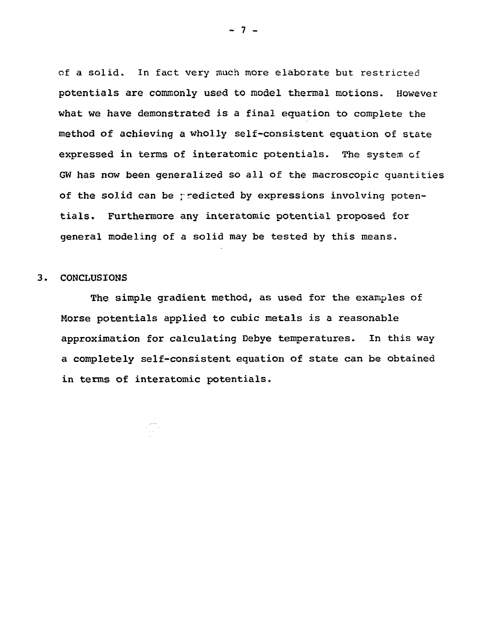of a solid. In fact very much more elaborate but restricted potentials are commonly used to model thermal motions. However what we have demonstrated is a final equation to complete the method of achieving a wholly self-consistent equation of state expressed in terms of interatomic potentials. The system of GW has now been generalized so all of the macroscopic quantities of the solid can be rredicted by expressions involving potentials. Furthermore any interatomic potential proposed for general modeling of a solid may be tested by this means.

#### 3. CONCLUSIONS

The simple gradient method, as used for the examples of Morse potentials applied to cubic metals is a reasonable approximation for calculating Debye temperatures. In this way a completely self-consistent equation of state can be obtained in terms of interatomic potentials.

 $-7 -$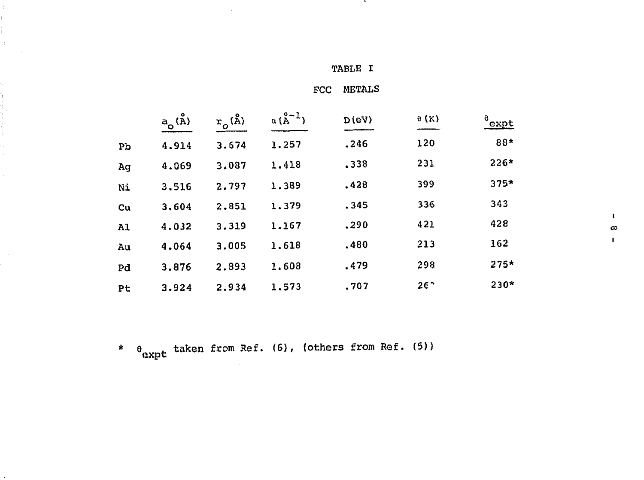PCC METALS

|    | $a$ <sub>O</sub> $(\stackrel{\circ}{\rm A})$ | $r_{\rm o}({\rm \AA})$ | $\alpha(\overset{\circ}{\mathbb{A}}^{-1})$ | D(eV) | $\theta$ (K) | $^{0}$ expt |
|----|----------------------------------------------|------------------------|--------------------------------------------|-------|--------------|-------------|
| Pb | 4.914                                        | 3.674                  | 1,257                                      | .246  | 120          | 88*         |
| Ag | 4.069                                        | 3.087                  | 1.418                                      | .338  | 231          | $226*$      |
| Ni | 3.516                                        | 2.797                  | 1.389                                      | .428  | 399          | $375*$      |
| Cu | 3,604                                        | 2,851                  | 1,379                                      | .345  | 336          | 343         |
| A1 | 4,032                                        | 3.319                  | 1.167                                      | .290  | 421          | 428         |
| Au | 4.064                                        | 3.005                  | 1.618                                      | .480  | 213          | 162         |
| Pd | 3.876                                        | 2.893                  | 1.608                                      | .479  | 298          | $275*$      |
| Pt | 3.924                                        | 2.934                  | 1.573                                      | .707  | $26^{\circ}$ | $230*$      |

\*  $\theta_{\rm expt}$  taken from Ref. (6), (others from Ref. (5))

il.<br>B

t,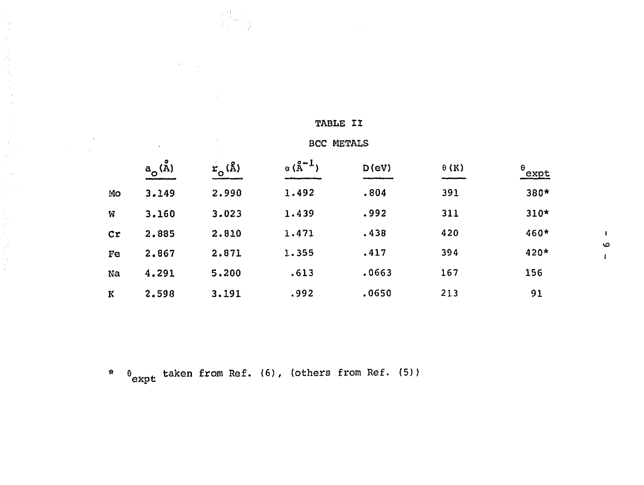|                        | $a_{\rm o}({\rm \AA})$ | $r_o^{\text{A}}$ | $\alpha(\text{A}^{-1})$ | $D$ (eV) | $\theta$ (K) | $\frac{\theta_{expt}}{\theta}$ |   |
|------------------------|------------------------|------------------|-------------------------|----------|--------------|--------------------------------|---|
| Mo                     | 3.149                  | 2.990            | 1.492                   | .804     | 391          | $380*$                         |   |
| W                      | 3.160                  | 3.023            | 1.439                   | .992     | 311          | $310*$                         |   |
| $\mathbf{C}\mathbf{r}$ | 2.885                  | 2.810            | 1.471                   | .438     | 420          | 460*                           |   |
| Fe                     | 2.867                  | 2.871            | 1.355                   | .417     | 394          | 420*                           | ю |
| Na                     | 4.291                  | 5,200            | .613                    | .0663    | 167          | 156                            |   |
| K                      | 2.598                  | 3.191            | .992                    | .0650    | 213          | 91                             |   |

TABLE II

\*  $\theta_{\tt expt}$  taken from Ref. (6), (others from Ref. (5))

 $\label{eq:3.1} \begin{array}{c} \mathcal{L}_{\text{eff}} = \frac{1}{2} \left( \frac{1}{2} \frac{1}{2} \frac{d^2}{d^2} \right) \mathcal{L}_{\text{eff}} \\ \mathcal{L}_{\text{eff}} = \frac{1}{2} \left( \frac{1}{2} \frac{d^2}{d^2} \right) \mathcal{L}_{\text{eff}} \\ \mathcal{L}_{\text{eff}} = \frac{1}{2} \left( \frac{1}{2} \frac{d^2}{d^2} \right) \mathcal{L}_{\text{eff}} \\ \mathcal{L}_{\text{eff}} = \frac{1}{2} \left( \frac{1}{2} \frac{$ 

 $\mathcal{L}_{\rm{in}}$ 

 $\label{eq:2.1} \frac{1}{\sqrt{2\pi}}\sum_{i=1}^n\frac{1}{\sqrt{2\pi}}\sum_{i=1}^n\frac{1}{\sqrt{2\pi}}\sum_{i=1}^n\frac{1}{\sqrt{2\pi}}\sum_{i=1}^n\frac{1}{\sqrt{2\pi}}\sum_{i=1}^n\frac{1}{\sqrt{2\pi}}\sum_{i=1}^n\frac{1}{\sqrt{2\pi}}\sum_{i=1}^n\frac{1}{\sqrt{2\pi}}\sum_{i=1}^n\frac{1}{\sqrt{2\pi}}\sum_{i=1}^n\frac{1}{\sqrt{2\pi}}\sum_{i=1}^n\$ 

Îη,

的复数医学家

 $\sim$ r

 $\sim$   $\sim$   $\pm$ 

 $\sim$   $\sim$ 

医血管 医心室检查

 $\frac{1}{2}$  ,  $\frac{1}{2}$  ,  $\frac{1}{2}$ 

BCC METALS

 $\circ$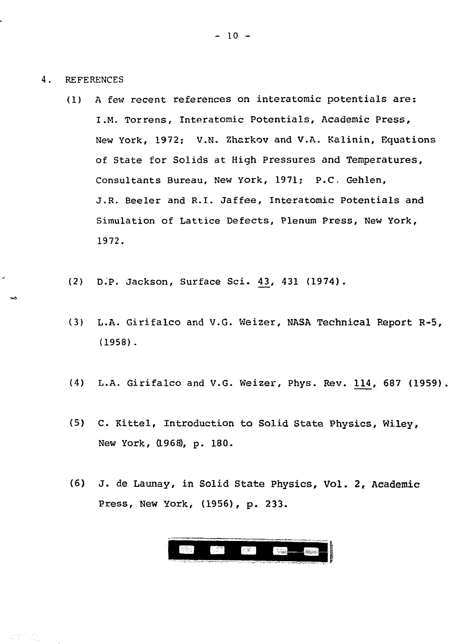4. REFERENCES

 $\ddot{ }$ 

郭东 和

- (1) A few recent references on interatomic potentials are: I .M. Torrens, Interatomic Potentials, Academic Press, New York, 1972; V.N- Zharkov and V.A. Kalinin, Equations of State for Solids at High Pressures and Temperatures, Consultants Bureau, New York, 1971; P.C. Gehlen, J.R. Beeler and R.I. Jaffee, Interatomic Potentials and Simulation of Lattice Defects, Plenum Press, New York, **1972.**
- (2) D.P. Jackson, Surface Sci. 4\_3, 431 (1974).
- (3) L.A. Girifalco and V.G. Weizer, NASA Technical Report R~5, (1958) .
- (4) L.A. Girifalco and V.G. Weizer, Phys. Rev. 114, 687 (1959)
- (5) C- Kittel, Introduction to Solid State Physics, Wiley, New York, (1968), p. 180.
- (6) j . de Launay, in Solid State Physics, Vol. 2, Academic Press, New York, (1956), p. 233.

 $\mathbb{Z}^{2d+1}$ **External**